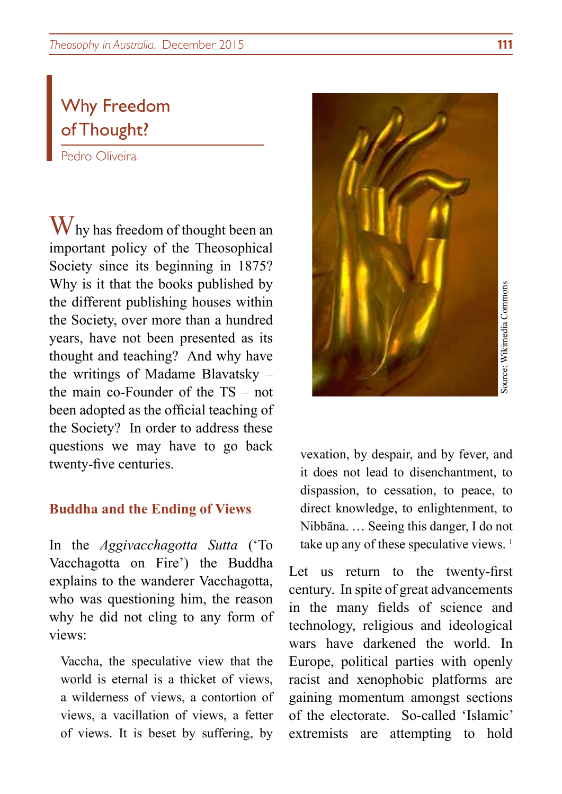# Why Freedom of Thought?

Pedro Oliveira

Why has freedom of thought been an important policy of the Theosophical Society since its beginning in 1875? Why is it that the books published by the different publishing houses within the Society, over more than a hundred years, have not been presented as its thought and teaching? And why have the writings of Madame Blavatsky – the main co-Founder of the TS – not been adopted as the official teaching of the Society? In order to address these questions we may have to go back twenty-five centuries.

### **Buddha and the Ending of Views**

In the *Aggivacchagotta Sutta* ('To Vacchagotta on Fire') the Buddha explains to the wanderer Vacchagotta, who was questioning him, the reason why he did not cling to any form of views:

Vaccha, the speculative view that the world is eternal is a thicket of views, a wilderness of views, a contortion of views, a vacillation of views, a fetter of views. It is beset by suffering, by



vexation, by despair, and by fever, and it does not lead to disenchantment, to dispassion, to cessation, to peace, to direct knowledge, to enlightenment, to Nibbāna. … Seeing this danger, I do not take up any of these speculative views.  $<sup>1</sup>$ </sup>

Let us return to the twenty-first century. In spite of great advancements in the many fields of science and technology, religious and ideological wars have darkened the world. In Europe, political parties with openly racist and xenophobic platforms are gaining momentum amongst sections of the electorate. So-called 'Islamic' extremists are attempting to hold series are attempting to the electorate. The dispassion, to cessation, to peace, to direct knowledge, to enlightenment, to direct knowledge, to enlightenment, to Nibbāna. ... Seeing this d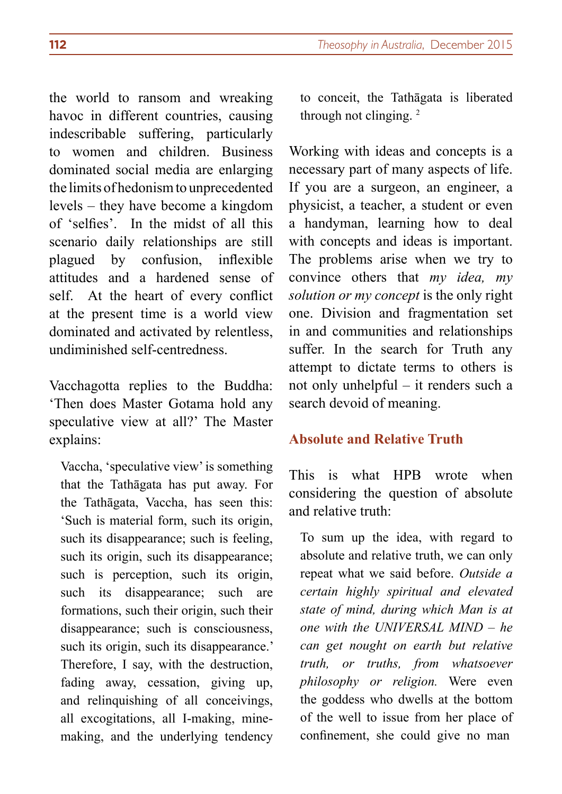the world to ransom and wreaking havoc in different countries, causing indescribable suffering, particularly to women and children. Business dominated social media are enlarging the limits of hedonism to unprecedented levels – they have become a kingdom of 'selfies'. In the midst of all this scenario daily relationships are still plagued by confusion, inflexible attitudes and a hardened sense of self. At the heart of every conflict at the present time is a world view dominated and activated by relentless, undiminished self-centredness.

Vacchagotta replies to the Buddha: 'Then does Master Gotama hold any speculative view at all?' The Master explains:

Vaccha, 'speculative view' is something that the Tathāgata has put away. For the Tathāgata, Vaccha, has seen this: 'Such is material form, such its origin, such its disappearance; such is feeling, such its origin, such its disappearance; such is perception, such its origin, such its disappearance; such are formations, such their origin, such their disappearance; such is consciousness, such its origin, such its disappearance.' Therefore, I say, with the destruction, fading away, cessation, giving up, and relinquishing of all conceivings, all excogitations, all I-making, minemaking, and the underlying tendency to conceit, the Tathāgata is liberated through not clinging.<sup>2</sup>

Working with ideas and concepts is a necessary part of many aspects of life. If you are a surgeon, an engineer, a physicist, a teacher, a student or even a handyman, learning how to deal with concepts and ideas is important. The problems arise when we try to convince others that *my idea, my solution or my concept* is the only right one. Division and fragmentation set in and communities and relationships suffer. In the search for Truth any attempt to dictate terms to others is not only unhelpful – it renders such a search devoid of meaning.

# **Absolute and Relative Truth**

This is what HPB wrote when considering the question of absolute and relative truth:

To sum up the idea, with regard to absolute and relative truth, we can only repeat what we said before. *Outside a certain highly spiritual and elevated state of mind, during which Man is at one with the UNIVERSAL MIND – he can get nought on earth but relative truth, or truths, from whatsoever philosophy or religion.* Were even the goddess who dwells at the bottom of the well to issue from her place of confinement, she could give no man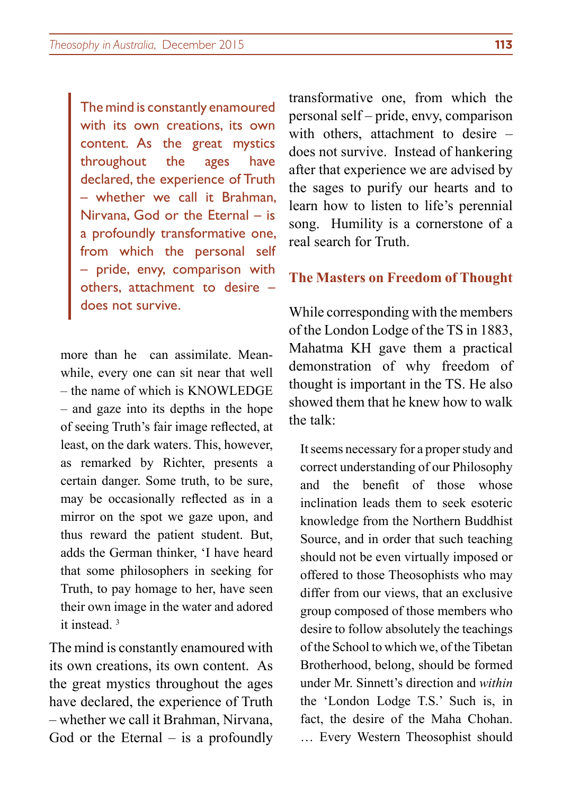The mind is constantly enamoured with its own creations, its own content. As the great mystics throughout the ages have declared, the experience of Truth – whether we call it Brahman, Nirvana, God or the Eternal – is a profoundly transformative one, from which the personal self – pride, envy, comparison with others, attachment to desire – does not survive.

more than he can assimilate. Meanwhile, every one can sit near that well – the name of which is KNOWLEDGE – and gaze into its depths in the hope of seeing Truth's fair image reflected, at least, on the dark waters. This, however, as remarked by Richter, presents a certain danger. Some truth, to be sure, may be occasionally reflected as in a mirror on the spot we gaze upon, and thus reward the patient student. But, adds the German thinker, 'I have heard that some philosophers in seeking for Truth, to pay homage to her, have seen their own image in the water and adored it instead.<sup>3</sup>

The mind is constantly enamoured with its own creations, its own content. As the great mystics throughout the ages have declared, the experience of Truth – whether we call it Brahman, Nirvana, God or the Eternal  $-$  is a profoundly

transformative one, from which the personal self – pride, envy, comparison with others, attachment to desire – does not survive. Instead of hankering after that experience we are advised by the sages to purify our hearts and to learn how to listen to life's perennial song. Humility is a cornerstone of a real search for Truth.

# **The Masters on Freedom of Thought**

While corresponding with the members of the London Lodge of the TS in 1883, Mahatma KH gave them a practical demonstration of why freedom of thought is important in the TS. He also showed them that he knew how to walk the talk:

It seems necessary for a proper study and correct understanding of our Philosophy and the benefit of those whose inclination leads them to seek esoteric knowledge from the Northern Buddhist Source, and in order that such teaching should not be even virtually imposed or offered to those Theosophists who may differ from our views, that an exclusive group composed of those members who desire to follow absolutely the teachings of the School to which we, of the Tibetan Brotherhood, belong, should be formed under Mr. Sinnett's direction and *within* the 'London Lodge T.S.' Such is, in fact, the desire of the Maha Chohan. … Every Western Theosophist should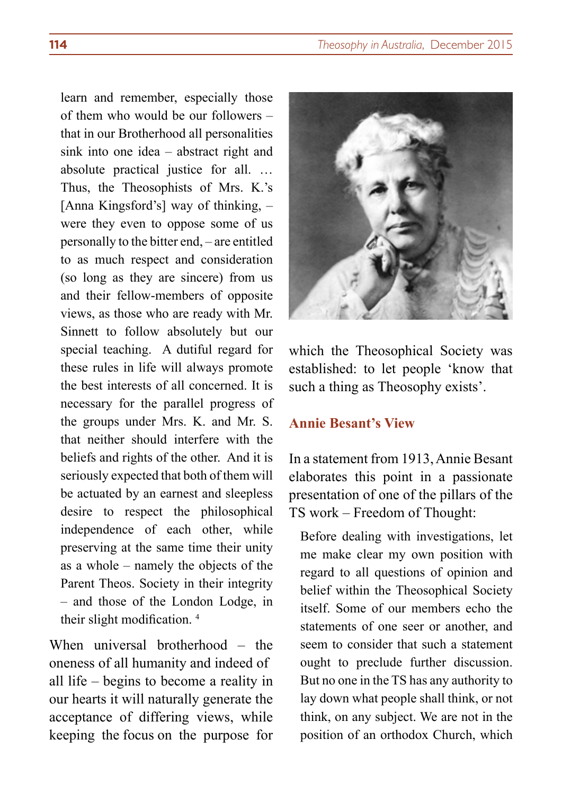learn and remember, especially those of them who would be our followers – that in our Brotherhood all personalities sink into one idea – abstract right and absolute practical justice for all. … Thus, the Theosophists of Mrs. K.'s [Anna Kingsford's] way of thinking, – were they even to oppose some of us personally to the bitter end, – are entitled to as much respect and consideration (so long as they are sincere) from us and their fellow-members of opposite views, as those who are ready with Mr. Sinnett to follow absolutely but our special teaching. A dutiful regard for these rules in life will always promote the best interests of all concerned. It is necessary for the parallel progress of the groups under Mrs. K. and Mr. S. that neither should interfere with the beliefs and rights of the other. And it is seriously expected that both of them will be actuated by an earnest and sleepless desire to respect the philosophical independence of each other, while preserving at the same time their unity as a whole – namely the objects of the Parent Theos. Society in their integrity – and those of the London Lodge, in their slight modification. <sup>4</sup>

When universal brotherhood – the oneness of all humanity and indeed of all life – begins to become a reality in our hearts it will naturally generate the acceptance of differing views, while keeping the focus on the purpose for



which the Theosophical Society was established: to let people 'know that such a thing as Theosophy exists'.

# **Annie Besant's View**

In a statement from 1913, Annie Besant elaborates this point in a passionate presentation of one of the pillars of the TS work – Freedom of Thought:

Before dealing with investigations, let me make clear my own position with regard to all questions of opinion and belief within the Theosophical Society itself. Some of our members echo the statements of one seer or another, and seem to consider that such a statement ought to preclude further discussion. But no one in the TS has any authority to lay down what people shall think, or not think, on any subject. We are not in the position of an orthodox Church, which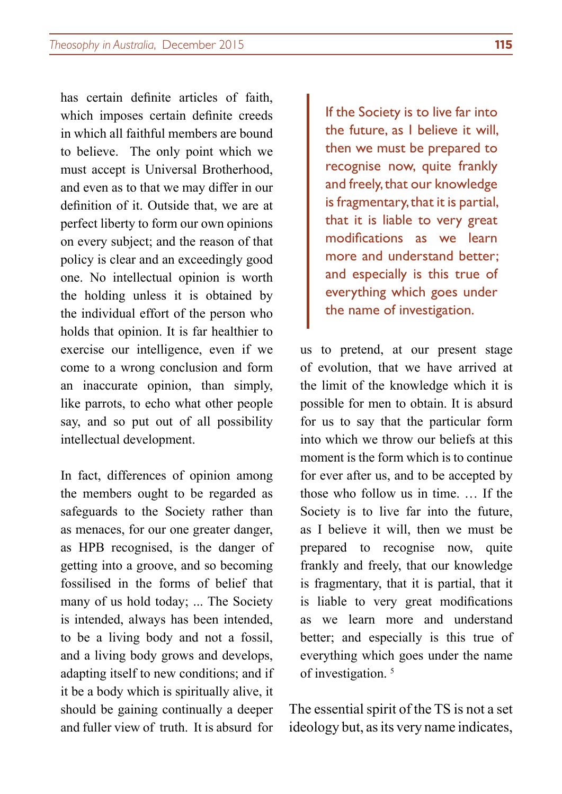has certain definite articles of faith, which imposes certain definite creeds in which all faithful members are bound to believe. The only point which we must accept is Universal Brotherhood, and even as to that we may differ in our definition of it. Outside that, we are at perfect liberty to form our own opinions on every subject; and the reason of that policy is clear and an exceedingly good one. No intellectual opinion is worth the holding unless it is obtained by the individual effort of the person who holds that opinion. It is far healthier to exercise our intelligence, even if we come to a wrong conclusion and form an inaccurate opinion, than simply, like parrots, to echo what other people say, and so put out of all possibility intellectual development.

In fact, differences of opinion among the members ought to be regarded as safeguards to the Society rather than as menaces, for our one greater danger, as HPB recognised, is the danger of getting into a groove, and so becoming fossilised in the forms of belief that many of us hold today; ... The Society is intended, always has been intended, to be a living body and not a fossil, and a living body grows and develops, adapting itself to new conditions; and if it be a body which is spiritually alive, it should be gaining continually a deeper and fuller view of truth. It is absurd for

If the Society is to live far into the future, as I believe it will, then we must be prepared to recognise now, quite frankly and freely, that our knowledge is fragmentary, that it is partial, that it is liable to very great modifications as we learn more and understand better; and especially is this true of everything which goes under the name of investigation.

us to pretend, at our present stage of evolution, that we have arrived at the limit of the knowledge which it is possible for men to obtain. It is absurd for us to say that the particular form into which we throw our beliefs at this moment is the form which is to continue for ever after us, and to be accepted by those who follow us in time. … If the Society is to live far into the future, as I believe it will, then we must be prepared to recognise now, quite frankly and freely, that our knowledge is fragmentary, that it is partial, that it is liable to very great modifications as we learn more and understand better; and especially is this true of everything which goes under the name of investigation.<sup>5</sup>

The essential spirit of the TS is not a set ideology but, as its very name indicates,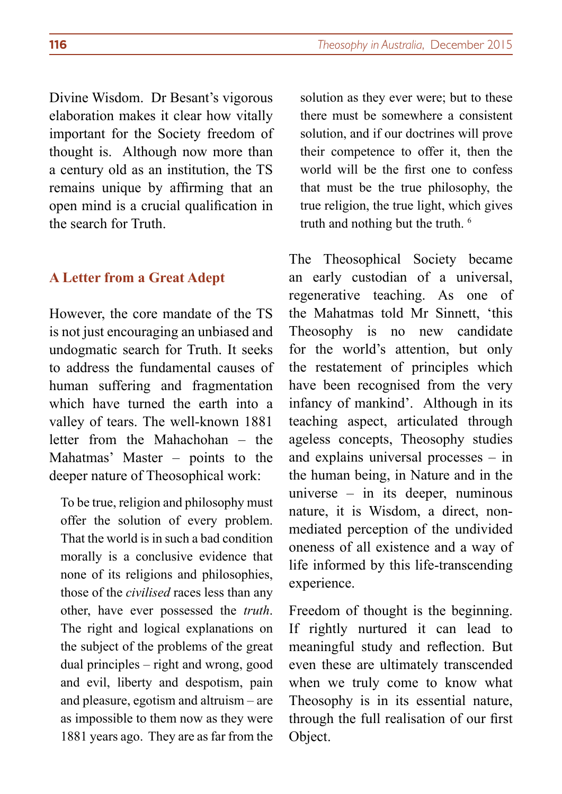Divine Wisdom. Dr Besant's vigorous elaboration makes it clear how vitally important for the Society freedom of thought is. Although now more than a century old as an institution, the TS remains unique by affirming that an open mind is a crucial qualification in the search for Truth.

#### **A Letter from a Great Adept**

However, the core mandate of the TS is not just encouraging an unbiased and undogmatic search for Truth. It seeks to address the fundamental causes of human suffering and fragmentation which have turned the earth into a valley of tears. The well-known 1881 letter from the Mahachohan – the Mahatmas' Master – points to the deeper nature of Theosophical work:

To be true, religion and philosophy must offer the solution of every problem. That the world is in such a bad condition morally is a conclusive evidence that none of its religions and philosophies, those of the *civilised* races less than any other, have ever possessed the *truth*. The right and logical explanations on the subject of the problems of the great dual principles – right and wrong, good and evil, liberty and despotism, pain and pleasure, egotism and altruism – are as impossible to them now as they were 1881 years ago. They are as far from the

solution as they ever were; but to these there must be somewhere a consistent solution, and if our doctrines will prove their competence to offer it, then the world will be the first one to confess that must be the true philosophy, the true religion, the true light, which gives truth and nothing but the truth. 6

The Theosophical Society became an early custodian of a universal, regenerative teaching. As one of the Mahatmas told Mr Sinnett, 'this Theosophy is no new candidate for the world's attention, but only the restatement of principles which have been recognised from the very infancy of mankind'. Although in its teaching aspect, articulated through ageless concepts, Theosophy studies and explains universal processes – in the human being, in Nature and in the universe – in its deeper, numinous nature, it is Wisdom, a direct, nonmediated perception of the undivided oneness of all existence and a way of life informed by this life-transcending experience.

Freedom of thought is the beginning. If rightly nurtured it can lead to meaningful study and reflection. But even these are ultimately transcended when we truly come to know what Theosophy is in its essential nature, through the full realisation of our first Object.